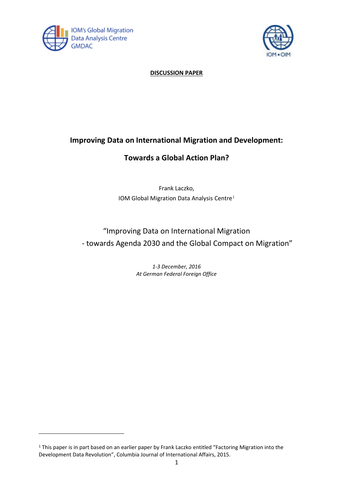



## **DISCUSSION PAPER**

# **Improving Data on International Migration and Development:**

## **Towards a Global Action Plan?**

Frank Laczko, IOM Global Migration Data Analysis Centre<sup>1</sup>

# "Improving Data on International Migration - towards Agenda 2030 and the Global Compact on Migration"

*1-3 December, 2016 At German Federal Foreign Office*

l

<sup>&</sup>lt;sup>1</sup> This paper is in part based on an earlier paper by Frank Laczko entitled "Factoring Migration into the Development Data Revolution", Columbia Journal of International Affairs, 2015.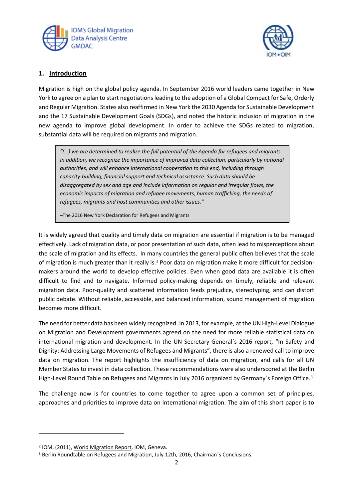



## **1. Introduction**

Migration is high on the global policy agenda. In September 2016 world leaders came together in New York to agree on a plan to start negotiations leading to the adoption of a Global Compact for Safe, Orderly and Regular Migration. States also reaffirmed in New York the 2030 Agenda for Sustainable Development and the 17 Sustainable Development Goals (SDGs), and noted the historic inclusion of migration in the new agenda to improve global development. In order to achieve the SDGs related to migration, substantial data will be required on migrants and migration.

*"(…) we are determined to realize the full potential of the Agenda for refugees and migrants. In addition, we recognize the importance of improved data collection, particularly by national authorities, and will enhance international cooperation to this end, including through capacity-building, financial support and technical assistance. Such data should be disaggregated by sex and age and include information on regular and irregular flows, the economic impacts of migration and refugee movements, human trafficking, the needs of refugees, migrants and host communities and other issues."*

–The 2016 New York Declaration for Refugees and Migrants

It is widely agreed that quality and timely data on migration are essential if migration is to be managed effectively. Lack of migration data, or poor presentation of such data, often lead to misperceptions about the scale of migration and its effects. In many countries the general public often believes that the scale of migration is much greater than it really is.<sup>2</sup> Poor data on migration make it more difficult for decisionmakers around the world to develop effective policies. Even when good data are available it is often difficult to find and to navigate. Informed policy-making depends on timely, reliable and relevant migration data. Poor-quality and scattered information feeds prejudice, stereotyping, and can distort public debate. Without reliable, accessible, and balanced information, sound management of migration becomes more difficult.

The need for better data has been widely recognized. In 2013, for example, at the UN High-Level Dialogue on Migration and Development governments agreed on the need for more reliable statistical data on international migration and development. In the UN Secretary-General´s 2016 report, "In Safety and Dignity: Addressing Large Movements of Refugees and Migrants", there is also a renewed call to improve data on migration. The report highlights the insufficiency of data on migration, and calls for all UN Member States to invest in data collection. These recommendations were also underscored at the Berlin High-Level Round Table on Refugees and Migrants in July 2016 organized by Germany's Foreign Office.<sup>3</sup>

The challenge now is for countries to come together to agree upon a common set of principles, approaches and priorities to improve data on international migration. The aim of this short paper is to

l

<sup>&</sup>lt;sup>2</sup> IOM, (2011), World Migration Report, IOM, Geneva.

<sup>&</sup>lt;sup>3</sup> Berlin Roundtable on Refugees and Migration, July 12th, 2016, Chairman's Conclusions.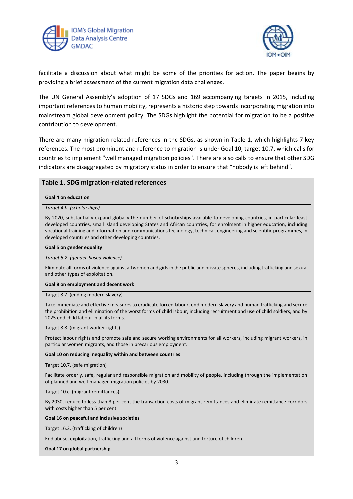



facilitate a discussion about what might be some of the priorities for action. The paper begins by providing a brief assessment of the current migration data challenges.

The UN General Assembly's adoption of 17 SDGs and 169 accompanying targets in 2015, including important references to human mobility, represents a historic step towards incorporating migration into mainstream global development policy. The SDGs highlight the potential for migration to be a positive contribution to development.

There are many migration-related references in the SDGs, as shown in Table 1, which highlights 7 key references. The most prominent and reference to migration is under Goal 10, target 10.7, which calls for countries to implement "well managed migration policies". There are also calls to ensure that other SDG indicators are disaggregated by migratory status in order to ensure that "nobody is left behind".

### **Table 1. SDG migration-related references**

#### **Goal 4 on education**

#### *Target 4.b. (scholarships)*

By 2020, substantially expand globally the number of scholarships available to developing countries, in particular least developed countries, small island developing States and African countries, for enrolment in higher education, including vocational training and information and communications technology, technical, engineering and scientific programmes, in developed countries and other developing countries.

#### **Goal 5 on gender equality**

#### *Target 5.2. (gender-based violence)*

Eliminate all forms of violence against all women and girls in the public and private spheres, including trafficking and sexual and other types of exploitation.

#### **Goal 8 on employment and decent work**

#### Target 8.7. (ending modern slavery)

Take immediate and effective measures to eradicate forced labour, end modern slavery and human trafficking and secure the prohibition and elimination of the worst forms of child labour, including recruitment and use of child soldiers, and by 2025 end child labour in all its forms.

#### Target 8.8. (migrant worker rights)

Protect labour rights and promote safe and secure working environments for all workers, including migrant workers, in particular women migrants, and those in precarious employment.

#### **Goal 10 on reducing inequality within and between countries**

#### Target 10.7. (safe migration)

Facilitate orderly, safe, regular and responsible migration and mobility of people, including through the implementation of planned and well-managed migration policies by 2030.

Target 10.c. (migrant remittances)

By 2030, reduce to less than 3 per cent the transaction costs of migrant remittances and eliminate remittance corridors with costs higher than 5 per cent.

#### **Goal 16 on peaceful and inclusive societies**

Target 16.2. (trafficking of children)

End abuse, exploitation, trafficking and all forms of violence against and torture of children.

#### **Goal 17 on global partnership**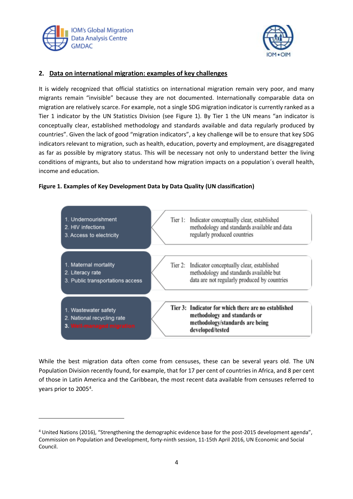

 $\overline{a}$ 



## **2. Data on international migration: examples of key challenges**

It is widely recognized that official statistics on international migration remain very poor, and many migrants remain "invisible" because they are not documented. Internationally comparable data on migration are relatively scarce. For example, not a single SDG migration indicator is currently ranked as a Tier 1 indicator by the UN Statistics Division (see Figure 1). By Tier 1 the UN means "an indicator is conceptually clear, established methodology and standards available and data regularly produced by countries". Given the lack of good "migration indicators", a key challenge will be to ensure that key SDG indicators relevant to migration, such as health, education, poverty and employment, are disaggregated as far as possible by migratory status. This will be necessary not only to understand better the living conditions of migrants, but also to understand how migration impacts on a population´s overall health, income and education.

## **Figure 1. Examples of Key Development Data by Data Quality (UN classification)**



While the best migration data often come from censuses, these can be several years old. The UN Population Division recently found, for example, that for 17 per cent of countries in Africa, and 8 per cent of those in Latin America and the Caribbean, the most recent data available from censuses referred to years prior to 2005<sup>4</sup>.

<sup>4</sup> United Nations (2016), "Strengthening the demographic evidence base for the post-2015 development agenda", Commission on Population and Development, forty-ninth session, 11-15th April 2016, UN Economic and Social Council.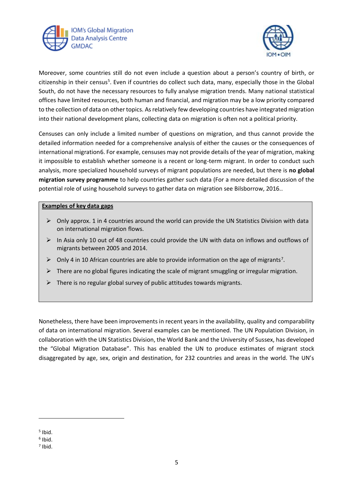



Moreover, some countries still do not even include a question about a person's country of birth, or citizenship in their census<sup>5</sup>. Even if countries do collect such data, many, especially those in the Global South, do not have the necessary resources to fully analyse migration trends. Many national statistical offices have limited resources, both human and financial, and migration may be a low priority compared to the collection of data on other topics. As relatively few developing countries have integrated migration into their national development plans, collecting data on migration is often not a political priority.

Censuses can only include a limited number of questions on migration, and thus cannot provide the detailed information needed for a comprehensive analysis of either the causes or the consequences of international migration6. For example, censuses may not provide details of the year of migration, making it impossible to establish whether someone is a recent or long-term migrant. In order to conduct such analysis, more specialized household surveys of migrant populations are needed, but there is **no global migration survey programme** to help countries gather such data (For a more detailed discussion of the potential role of using household surveys to gather data on migration see Bilsborrow, 2016..

## **Examples of key data gaps**

- $\triangleright$  Only approx. 1 in 4 countries around the world can provide the UN Statistics Division with data on international migration flows.
- $\triangleright$  In Asia only 10 out of 48 countries could provide the UN with data on inflows and outflows of migrants between 2005 and 2014.
- $\triangleright$  Only 4 in 10 African countries are able to provide information on the age of migrants<sup>7</sup>.
- $\triangleright$  There are no global figures indicating the scale of migrant smuggling or irregular migration.
- $\triangleright$  There is no regular global survey of public attitudes towards migrants.

Nonetheless, there have been improvements in recent years in the availability, quality and comparability of data on international migration. Several examples can be mentioned. The UN Population Division, in collaboration with the UN Statistics Division, the World Bank and the University of Sussex, has developed the "Global Migration Database". This has enabled the UN to produce estimates of migrant stock disaggregated by age, sex, origin and destination, for 232 countries and areas in the world. The UN's

j

<sup>5</sup> Ibid.

<sup>6</sup> Ibid.

<sup>7</sup> Ibid.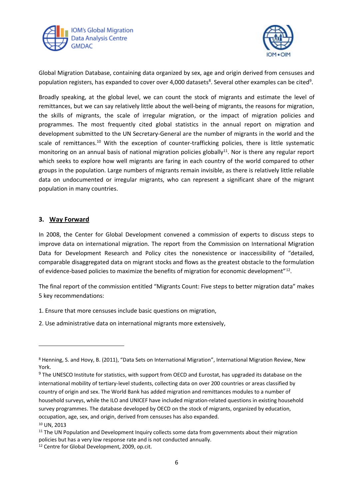



Global Migration Database, containing data organized by sex, age and origin derived from censuses and population registers, has expanded to cover over 4,000 datasets<sup>8</sup>. Several other examples can be cited<sup>9</sup>.

Broadly speaking, at the global level, we can count the stock of migrants and estimate the level of remittances, but we can say relatively little about the well-being of migrants, the reasons for migration, the skills of migrants, the scale of irregular migration, or the impact of migration policies and programmes. The most frequently cited global statistics in the annual report on migration and development submitted to the UN Secretary-General are the number of migrants in the world and the scale of remittances.<sup>10</sup> With the exception of counter-trafficking policies, there is little systematic monitoring on an annual basis of national migration policies globally $11$ . Nor is there any regular report which seeks to explore how well migrants are faring in each country of the world compared to other groups in the population. Large numbers of migrants remain invisible, as there is relatively little reliable data on undocumented or irregular migrants, who can represent a significant share of the migrant population in many countries.

## **3. Way Forward**

l

In 2008, the Center for Global Development convened a commission of experts to discuss steps to improve data on international migration. The report from the Commission on International Migration Data for Development Research and Policy cites the nonexistence or inaccessibility of "detailed, comparable disaggregated data on migrant stocks and flows as the greatest obstacle to the formulation of evidence-based policies to maximize the benefits of migration for economic development"<sup>12</sup>.

The final report of the commission entitled "Migrants Count: Five steps to better migration data" makes 5 key recommendations:

1. Ensure that more censuses include basic questions on migration,

2. Use administrative data on international migrants more extensively,

<sup>8</sup> Henning, S. and Hovy, B. (2011), "Data Sets on International Migration", International Migration Review, New York.

<sup>&</sup>lt;sup>9</sup> The UNESCO Institute for statistics, with support from OECD and Eurostat, has upgraded its database on the international mobility of tertiary-level students, collecting data on over 200 countries or areas classified by country of origin and sex. The World Bank has added migration and remittances modules to a number of household surveys, while the ILO and UNICEF have included migration-related questions in existing household survey programmes. The database developed by OECD on the stock of migrants, organized by education, occupation, age, sex, and origin, derived from censuses has also expanded. <sup>10</sup> UN, 2013

 $11$  The UN Population and Development Inquiry collects some data from governments about their migration policies but has a very low response rate and is not conducted annually.

<sup>12</sup> Centre for Global Development, 2009, op.cit.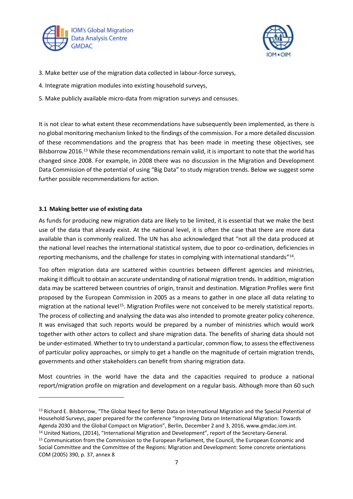



- 3. Make better use of the migration data collected in labour-force surveys,
- 4. Integrate migration modules into existing household surveys,
- 5. Make publicly available micro-data from migration surveys and censuses.

It is not clear to what extent these recommendations have subsequently been implemented, as there is no global monitoring mechanism linked to the findings of the commission. For a more detailed discussion of these recommendations and the progress that has been made in meeting these objectives, see Bilsborrow 2016.<sup>13</sup> While these recommendations remain valid, it is important to note that the world has changed since 2008. For example, in 2008 there was no discussion in the Migration and Development Data Commission of the potential of using "Big Data" to study migration trends. Below we suggest some further possible recommendations for action.

## **3.1 Making better use of existing data**

j

As funds for producing new migration data are likely to be limited, it is essential that we make the best use of the data that already exist. At the national level, it is often the case that there are more data available than is commonly realized. The UN has also acknowledged that "not all the data produced at the national level reaches the international statistical system, due to poor co-ordination, deficiencies in reporting mechanisms, and the challenge for states in complying with international standards"<sup>14</sup>.

Too often migration data are scattered within countries between different agencies and ministries, making it difficult to obtain an accurate understanding of national migration trends. In addition, migration data may be scattered between countries of origin, transit and destination. Migration Profiles were first proposed by the European Commission in 2005 as a means to gather in one place all data relating to migration at the national level<sup>15</sup>. Migration Profiles were not conceived to be merely statistical reports. The process of collecting and analysing the data was also intended to promote greater policy coherence. It was envisaged that such reports would be prepared by a number of ministries which would work together with other actors to collect and share migration data. The benefits of sharing data should not be under-estimated. Whether to try to understand a particular, common flow, to assess the effectiveness of particular policy approaches, or simply to get a handle on the magnitude of certain migration trends, governments and other stakeholders can benefit from sharing migration data.

Most countries in the world have the data and the capacities required to produce a national report/migration profile on migration and development on a regular basis. Although more than 60 such

<sup>13</sup> Richard E. Bilsborrow, "The Global Need for Better Data on International Migration and the Special Potential of Household Surveys, paper prepared for the conference "Improving Data on International Migration: Towards Agenda 2030 and the Global Compact on Migration", Berlin, December 2 and 3, 2016, www.gmdac.iom.int.

<sup>14</sup> United Nations, (2014), "International Migration and Development", report of the Secretary-General.

<sup>&</sup>lt;sup>15</sup> Communication from the Commission to the European Parliament, the Council, the European Economic and Social Committee and the Committee of the Regions: Migration and Development: Some concrete orientations COM (2005) 390, p. 37, annex 8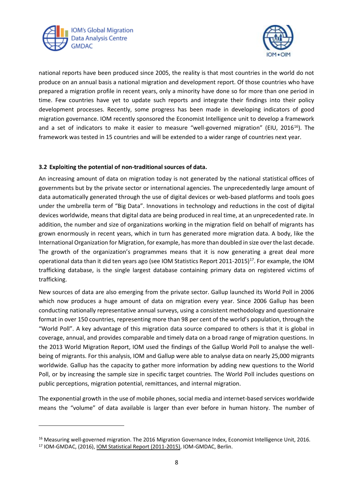

l



national reports have been produced since 2005, the reality is that most countries in the world do not produce on an annual basis a national migration and development report. Of those countries who have prepared a migration profile in recent years, only a minority have done so for more than one period in time. Few countries have yet to update such reports and integrate their findings into their policy development processes. Recently, some progress has been made in developing indicators of good migration governance. IOM recently sponsored the Economist Intelligence unit to develop a framework and a set of indicators to make it easier to measure "well-governed migration" (EIU, 2016<sup>16</sup>). The framework was tested in 15 countries and will be extended to a wider range of countries next year.

## **3.2 Exploiting the potential of non-traditional sources of data.**

An increasing amount of data on migration today is not generated by the national statistical offices of governments but by the private sector or international agencies. The unprecedentedly large amount of data automatically generated through the use of digital devices or web-based platforms and tools goes under the umbrella term of "Big Data". Innovations in technology and reductions in the cost of digital devices worldwide, means that digital data are being produced in real time, at an unprecedented rate. In addition, the number and size of organizations working in the migration field on behalf of migrants has grown enormously in recent years, which in turn has generated more migration data. A body, like the International Organization for Migration, for example, has more than doubled in size over the last decade. The growth of the organization's programmes means that it is now generating a great deal more operational data than it did ten years ago (see IOM Statistics Report 2011-2015)<sup>17</sup>. For example, the IOM trafficking database, is the single largest database containing primary data on registered victims of trafficking.

New sources of data are also emerging from the private sector. Gallup launched its World Poll in 2006 which now produces a huge amount of data on migration every year. Since 2006 Gallup has been conducting nationally representative annual surveys, using a consistent methodology and questionnaire format in over 150 countries, representing more than 98 per cent of the world's population, through the "World Poll". A key advantage of this migration data source compared to others is that it is global in coverage, annual, and provides comparable and timely data on a broad range of migration questions. In the 2013 World Migration Report, IOM used the findings of the Gallup World Poll to analyse the wellbeing of migrants. For this analysis, IOM and Gallup were able to analyse data on nearly 25,000 migrants worldwide. Gallup has the capacity to gather more information by adding new questions to the World Poll, or by increasing the sample size in specific target countries. The World Poll includes questions on public perceptions, migration potential, remittances, and internal migration.

The exponential growth in the use of mobile phones, social media and internet-based services worldwide means the "volume" of data available is larger than ever before in human history. The number of

<sup>&</sup>lt;sup>16</sup> Measuring well-governed migration. The 2016 Migration Governance Index, Economist Intelligence Unit, 2016. <sup>17</sup> IOM-GMDAC, (2016), IOM Statistical Report (2011-2015), IOM-GMDAC, Berlin.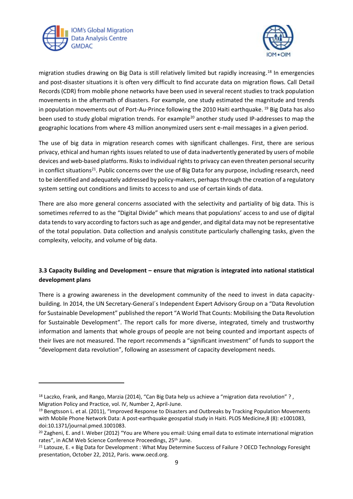

l



migration studies drawing on Big Data is still relatively limited but rapidly increasing. <sup>18</sup> In emergencies and post-disaster situations it is often very difficult to find accurate data on migration flows. Call Detail Records (CDR) from mobile phone networks have been used in several recent studies to track population movements in the aftermath of disasters. For example, one study estimated the magnitude and trends in population movements out of Port-Au-Prince following the 2010 Haiti earthquake. <sup>19</sup> Big Data has also been used to study global migration trends. For example<sup>20</sup> another study used IP-addresses to map the geographic locations from where 43 million anonymized users sent e-mail messages in a given period.

The use of big data in migration research comes with significant challenges. First, there are serious privacy, ethical and human rights issues related to use of data inadvertently generated by users of mobile devices and web-based platforms. Risks to individual rights to privacy can even threaten personal security in conflict situations<sup>21</sup>. Public concerns over the use of Big Data for any purpose, including research, need to be identified and adequately addressed by policy-makers, perhaps through the creation of a regulatory system setting out conditions and limits to access to and use of certain kinds of data.

There are also more general concerns associated with the selectivity and partiality of big data. This is sometimes referred to as the "Digital Divide" which means that populations' access to and use of digital data tends to vary according to factors such as age and gender, and digital data may not be representative of the total population. Data collection and analysis constitute particularly challenging tasks, given the complexity, velocity, and volume of big data.

## **3.3 Capacity Building and Development – ensure that migration is integrated into national statistical development plans**

There is a growing awareness in the development community of the need to invest in data capacitybuilding. In 2014, the UN Secretary-General´s Independent Expert Advisory Group on a "Data Revolution for Sustainable Development" published the report "A World That Counts: Mobilising the Data Revolution for Sustainable Development". The report calls for more diverse, integrated, timely and trustworthy information and laments that whole groups of people are not being counted and important aspects of their lives are not measured. The report recommends a "significant investment" of funds to support the "development data revolution", following an assessment of capacity development needs.

<sup>&</sup>lt;sup>18</sup> Laczko, Frank, and Rango, Marzia (2014), "Can Big Data help us achieve a "migration data revolution"?, Migration Policy and Practice, vol. IV, Number 2, April-June.

<sup>&</sup>lt;sup>19</sup> Bengtsson L. et al. (2011), "Improved Response to Disasters and Outbreaks by Tracking Population Movements with Mobile Phone Network Data: A post-earthquake geospatial study in Haiti. PLOS Medicine,8 (8): e1001083, doi:10.1371/journal.pmed.1001083.

<sup>&</sup>lt;sup>20</sup> Zagheni, E. and I. Weber (2012) "You are Where you email: Using email data to estimate international migration rates", in ACM Web Science Conference Proceedings, 25<sup>th</sup> June.

<sup>&</sup>lt;sup>21</sup> Latouze, E. « Big Data for Development : What May Determine Success of Failure ? OECD Technology Foresight presentation, October 22, 2012, Paris. www.oecd.org.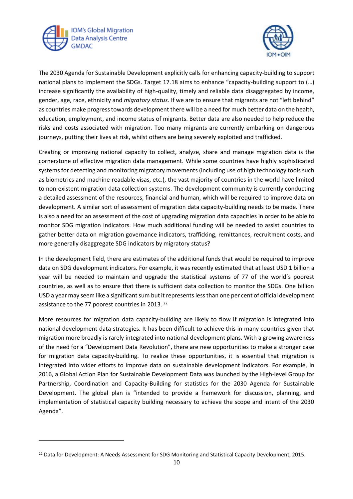

l



The 2030 Agenda for Sustainable Development explicitly calls for enhancing capacity-building to support national plans to implement the SDGs. Target 17.18 aims to enhance "capacity-building support to (…) increase significantly the availability of high-quality, timely and reliable data disaggregated by income, gender, age, race, ethnicity and *migratory status*. If we are to ensure that migrants are not "left behind" as countries make progress towards development there will be a need for much better data on the health, education, employment, and income status of migrants. Better data are also needed to help reduce the risks and costs associated with migration. Too many migrants are currently embarking on dangerous journeys, putting their lives at risk, whilst others are being severely exploited and trafficked.

Creating or improving national capacity to collect, analyze, share and manage migration data is the cornerstone of effective migration data management. While some countries have highly sophisticated systems for detecting and monitoring migratory movements (including use of high technology tools such as biometrics and machine-readable visas, etc.), the vast majority of countries in the world have limited to non-existent migration data collection systems. The development community is currently conducting a detailed assessment of the resources, financial and human, which will be required to improve data on development. A similar sort of assessment of migration data capacity-building needs to be made. There is also a need for an assessment of the cost of upgrading migration data capacities in order to be able to monitor SDG migration indicators. How much additional funding will be needed to assist countries to gather better data on migration governance indicators, trafficking, remittances, recruitment costs, and more generally disaggregate SDG indicators by migratory status?

In the development field, there are estimates of the additional funds that would be required to improve data on SDG development indicators. For example, it was recently estimated that at least USD 1 billion a year will be needed to maintain and upgrade the statistical systems of 77 of the world´s poorest countries, as well as to ensure that there is sufficient data collection to monitor the SDGs. One billion USD a year may seem like a significant sum but it represents less than one per cent of official development assistance to the 77 poorest countries in 2013.<sup>22</sup>

More resources for migration data capacity-building are likely to flow if migration is integrated into national development data strategies. It has been difficult to achieve this in many countries given that migration more broadly is rarely integrated into national development plans. With a growing awareness of the need for a "Development Data Revolution", there are new opportunities to make a stronger case for migration data capacity-building. To realize these opportunities, it is essential that migration is integrated into wider efforts to improve data on sustainable development indicators. For example, in 2016, a Global Action Plan for Sustainable Development Data was launched by the High-level Group for Partnership, Coordination and Capacity-Building for statistics for the 2030 Agenda for Sustainable Development. The global plan is "intended to provide a framework for discussion, planning, and implementation of statistical capacity building necessary to achieve the scope and intent of the 2030 Agenda".

<sup>&</sup>lt;sup>22</sup> Data for Development: A Needs Assessment for SDG Monitoring and Statistical Capacity Development, 2015.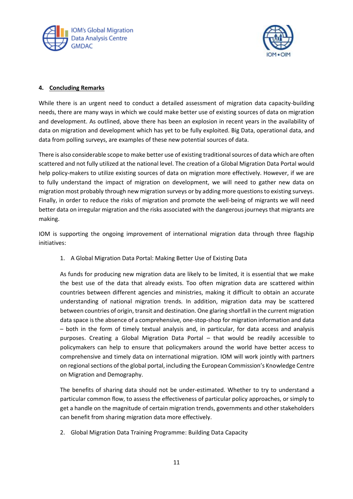



## **4. Concluding Remarks**

While there is an urgent need to conduct a detailed assessment of migration data capacity-building needs, there are many ways in which we could make better use of existing sources of data on migration and development. As outlined, above there has been an explosion in recent years in the availability of data on migration and development which has yet to be fully exploited. Big Data, operational data, and data from polling surveys, are examples of these new potential sources of data.

There is also considerable scope to make better use of existing traditional sources of data which are often scattered and not fully utilized at the national level. The creation of a Global Migration Data Portal would help policy-makers to utilize existing sources of data on migration more effectively. However, if we are to fully understand the impact of migration on development, we will need to gather new data on migration most probably through new migration surveys or by adding more questions to existing surveys. Finally, in order to reduce the risks of migration and promote the well-being of migrants we will need better data on irregular migration and the risks associated with the dangerous journeys that migrants are making.

IOM is supporting the ongoing improvement of international migration data through three flagship initiatives:

1. A Global Migration Data Portal: Making Better Use of Existing Data

As funds for producing new migration data are likely to be limited, it is essential that we make the best use of the data that already exists. Too often migration data are scattered within countries between different agencies and ministries, making it difficult to obtain an accurate understanding of national migration trends. In addition, migration data may be scattered between countries of origin, transit and destination. One glaring shortfall in the current migration data space is the absence of a comprehensive, one-stop-shop for migration information and data – both in the form of timely textual analysis and, in particular, for data access and analysis purposes. Creating a Global Migration Data Portal – that would be readily accessible to policymakers can help to ensure that policymakers around the world have better access to comprehensive and timely data on international migration. IOM will work jointly with partners on regional sections of the global portal, including the European Commission's Knowledge Centre on Migration and Demography.

The benefits of sharing data should not be under-estimated. Whether to try to understand a particular common flow, to assess the effectiveness of particular policy approaches, or simply to get a handle on the magnitude of certain migration trends, governments and other stakeholders can benefit from sharing migration data more effectively.

2. Global Migration Data Training Programme: Building Data Capacity